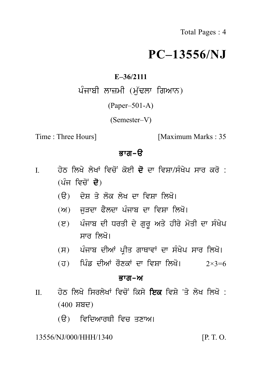# **PC–13556/NJ**

## **E–36/2111**

# $PC-13556/2$   $E$ –36/2111<br>ਪੰਜਾਬੀ ਲਾਜ਼ਮੀ (ਮੁੱਢਲਾ ਗਿਆਨ)<br>(Paper–501-A)

(Paper–501-A)

(Semester–V)

Time : Three Hours] [Maximum Marks : 35]

# ਕਾਗ– $\theta$

- I. Three Hours sand the Hours in the South of the South of the South of the South of the South of the South of the South of the South of the South of the South of the South of the South of the South of the South of the S **ਭਾਗ-ੳ<br>ਹੇਠ ਲਿਖੇ ਲੇਖਾਂ ਵਿਚੋਂ ਕੋਈ <b>ਦੋ** ਦਾ ਵਿ<br>(ਪੰਜ ਵਿਚੋਂ **ਦੋ**)<br>(ੳ) ਦੇਸ਼ ਤੇ ਲੋਕ ਲੇਖ ਦਾ ਵਿਸ਼ਾ ਹਿ<br>(ਅ) ਤੁਤਰਾ <sup>ਭੈ</sup>ਲਰਾ ਪੰਚਾਬ ਹਾ ਕਿਸ ਹੇਠ ਲਿਖੇ ਲੇਖਾਂ ਵਿਚੋਂ ਕੋਈ **ਦੋ** ਦਾ ਵਿਸ਼ਾ/ਸੰਖੇਪ ਸਾਰ ਕਰੋ :<br>(ਪੰਜ ਵਿਚੋਂ **ਦੋ**)<br>(ੳ) ਦੇਸ਼ ਤੇ ਲੋਕ ਲੇਖ ਦਾ ਵਿਸ਼ਾ ਲਿਖੋ।<br>(ਅ) ਜੁੜਦਾ ਫੈਲਦਾ ਪੰਜਾਬ ਦਾ ਵਿਸ਼ਾ ਲਿਖੋ।<br>(ਸ) ਮੰਤਲਾ ਦੀ ਸ਼ਾਹੀ ਤੇ ਤਾਰ ਅਤੇ ਹੀਤੇ ਮੋਟੀ ਹਾ ਸੰਖੇਪ
	-
	-
	- ਹਠ ਜਲਕ ਲੁਕਾ ਵਿਚ ਕੁਣਜ ਦ ਦਾ ਜ਼ਿਸ਼ਾ/ਸ਼ੁਕਧ ਸਾਰ ਕਰ .<br>(ਪੰਜ ਵਿਚੋਂ **ਦੋ**)<br>(ੳ) ਦੇਸ਼ ਤੇ ਲੋਕ ਲੇਖ ਦਾ ਵਿਸ਼ਾ ਲਿਖੋ।<br>(ਅ) ਜੁੜਦਾ ਫੈਲਦਾ ਪੰਜਾਬ ਦਾ ਵਿਸ਼ਾ ਲਿਖੋ।<br>(ੲ) ਪੰਜਾਬ ਦੀ ਧਰਤੀ ਦੇ ਗੁਰੂ ਅਤੇ ਹੀਰੇ ਮੋਤੀ ਦਾ ਸੰਖੇਪ<br>ਸਾਰ ਲਿਖੋ। (ਚੈ) ਦੇਸ਼ ਤੇ ਲੋਕ ਲੇਖ ਦਾ ਵਿਸ਼ਾ ਲਿਖੋ।<br>(ਅ) ਜੁੜਦਾ ਫੈਲਦਾ ਪੰਜਾਬ ਦਾ ਵਿਸ਼ਾ ਲਿਖੋ।<br>(ੲ) ਪੰਜਾਬ ਦੀ ਧਰਤੀ ਦੇ ਗੁਰੂ ਅਤੇ ਹੀਰੇ ਮੋਤੀ ਦਾ ਸੰਖੇਪ<br>ਸਾਰ ਲਿਖੋ।<br>(ਸ) ਮੰਜਾਬ ਦੀਆਂ ਮੀਤ ਗਾਜਾਵਾਂ ਦਾ ਸੰਮੇਮ ਸਾਰ ਲਿਖੋ। ਦਸ਼ ਤ ਲਕ ਲੁਖ ਦਾ ਵਿਸ਼ਾ ।ਲੁਖ<br>ਜੁੜਦਾ ਫੈਲਦਾ ਪੰਜਾਬ ਦਾ ਵਿਸ਼ਾ ਜਿਲ<br>ਪੰਜਾਬ ਦੀ ਧਰਤੀ ਦੇ ਗੁਰੂ ਅਤੇ ਹੰ<br>ਸਾਰ ਲਿਖੋ।<br>ਪੰਜਾਬ ਦੀਆਂ ਪ੍ਰੋਤ ਗਾਥਾਵਾਂ ਦਾ ਸ (s) p Mjwb dIAW p RIq gwQwvW dw s MK yp swr ilK o[ (ੲ) ਪੰਜਾਬ ਦੀ ਪਰਤੀ ਦੇ ਗੁਰੂ ਅਤੇ ਹੀਰ ਸੇਤੀ ਦਾ ਸੰਖੇਪ<br>ਸਾਰ ਲਿਖੋ।<br>(ਸ) ਪੰਜਾਬ ਦੀਆਂ ਪ੍ਰੀਤ ਗਾਥਾਵਾਂ ਦਾ ਸੰਖੇਪ ਸਾਰ ਲਿਖੋ।<br>(ਹ) ਪਿੰਡ ਦੀਆਂ ਰੌਣਕਾਂ ਦਾ ਵਿਸ਼ਾ ਲਿਖੋ। 2×3=6<br>ਭਾਗ–ਅ
	-
	-

#### ਭਾਗ–ਅ

- $I(3)$  ਜਾਂਦੇ ਹੰਦੇ ਹੋ ਕਾਂਦੇ ਹੋ ਸਦਾ ਸਾਰੇ ਨਾਜ<br>
(ਹ) ਪਿੰਡ ਦੀਆਂ ਰੌਣਕਾਂ ਦਾ ਵਿਸ਼ਾ ਲਿਖੋ। 2×3=6<br> **ਭਾਗ-ਅ**<br>
II. ਹੇਠ ਲਿਖੇ ਸਿਰਲੇਖਾਂ ਵਿਚੋਂ ਕਿਸੇ **ਇਕ** ਵਿਸ਼ੇ 'ਤੇ ਲੇਖ ਲਿਖੋ :<br>
(400 ਸ਼ਬਦ)<br>
(<del>c) ਵਿਗਿਆਰਥੀ ਵਿਚ ਕਣ</del>ਾਅ।  $(400 \; \text{MHz})$ 
	- $\overline{R}$ ) ਵਿਦਿਆਰਥੀ ਵਿਚ ਤਣਾਅ।

### 13556/NJ/000/HHH/1340 [P. T. O.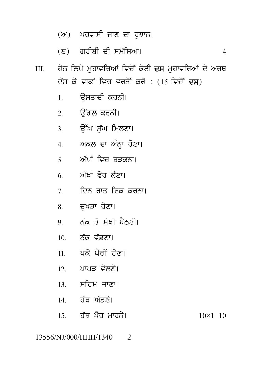- (ਅ) ਪਰਵਾਸੀ ਜਾਣ ਦਾ ਰਝਾਨ।
- (ੲ) ਗਰੀਬੀ ਦੀ ਸਮੱਸਿਆ।  $\overline{4}$
- ਹੇਠ ਲਿਖੇ ਮਹਾਵਰਿਆਂ ਵਿਚੋਂ ਕੋਈ **ਦਸ** ਮਹਾਵਰਿਆਂ ਦੇ ਅਰਥ  $III$ ਦੱਸ ਕੇ ਵਾਕਾਂ ਵਿਚ ਵਰਤੋਂ ਕਰੋ : (15 ਵਿਚੋਂ **ਦਸ**)
	- ੳਸਤਾਦੀ ਕਰਨੀ।  $\mathbf{1}$
	- 2. ਓਂਗਲ ਕਰਨੀ।
	- 3. ਓੱਘ ਸੱਘ ਮਿਲਣਾ।
	- 4. ਅਕਲ ਦਾ ਅੰਨਾ ਹੋਣਾ।
	- ਼ ਅੱਖਾਂ ਵਿਚ ਰੜਕਨਾ।
	- 6 ਅੱਖਾਂ ਫ਼ੇਰ ਲੈਣਾ।
	- $7 \quad$  ਦਿਨ ਰਾਤ ਇਕ ਕਰਨਾ।
	- 8. ਦਖੜਾ ਰੋਣਾ।
	- 9 ਨੱਕ ਤੇ ਮੱਖੀ ਬੈਨਣੀ।
	- 10 ਨੱਕ ਵੱਡਣਾ।
	- 11. ਪੱਕੇ ਪੈਰੀਂ ਹੋਣਾ।
	- 12 ਪਾਪਤ ਵੇਲਣੇ।
	- 13 ਸਹਿਮ ਜਾਣਾ।
	- 14 ਹੱਥ ਅੱਡਣੇ।
	- 15 ਹੱਥ ਪੈਰ ਮਾਰਨੇ।  $10 \times 1 = 10$

13556/NJ/000/HHH/1340  $\mathcal{D}$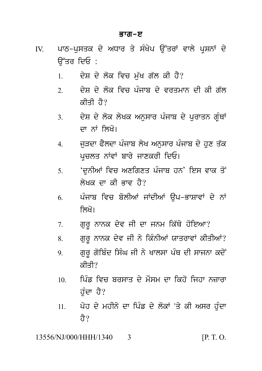- ਪਾਠ-ਪਸਤਕ ਦੇ ਅਧਾਰ ਤੇ ਸੰਖੇਪ ਉੱਤਰਾਂ ਵਾਲੇ ਪਸ਼ਨਾਂ ਦੇ  $\mathbf{I}$ <u> ਬਿੱਤਰ ਦਿਓ :</u>
	- ਦੇਸ਼ ਦੇ ਲੋਕ ਵਿਚ ਮੱਖ ਗੱਲ ਕੀ ਹੈ?  $\mathbf{1}$
	- ਦੇਸ਼ ਦੇ ਲੋਕ ਵਿਚ ਪੰਜਾਬ ਦੇ ਵਰਤਮਾਨ ਦੀ ਕੀ ਗੱਲ  $\mathcal{L}$ ਕੀਤੀ ਜੈ?
	- ਦੇਸ਼ ਦੇ ਲੋਕ ਲੇਖਕ ਅਨਸਾਰ ਪੰਜਾਬ ਦੇ ਪਰਾਤਨ ਗੰਥਾਂ  $\mathcal{E}$ ਦਾ ਨਾਂ ਲਿਖੋ।
	- ਜੜਦਾ ਫੈਲਦਾ ਪੰਜਾਬ ਲੇਖ ਅਨਸਾਰ ਪੰਜਾਬ ਦੇ ਹੁਣ ਤੱਕ  $\overline{4}$ ਪਚਲਤ ਨਾਂਵਾਂ ਬਾਰੇ ਜਾਣਕਰੀ ਦਿਓ।
	- 'ਦਨੀਆਂ ਵਿਚ ਅਣਗਿਣਤ ਪੰਜਾਬ ਹਨ' ਇਸ ਵਾਕ ਤੋਂ 5. ਲੇਖਕ ਦਾ ਕੀ ਕਾਵ ਹੈ?
	- ਪੰਜਾਬ ਵਿਚ ਬੋਲੀਆਂ ਜਾਂਦੀਆਂ ੳਪ–ਭਾਸ਼ਾਵਾਂ ਦੇ ਨਾਂ 6 ਲਿਖੋ।
	- ਗਰ ਨਾਨਕ ਦੇਵ ਜੀ ਦਾ ਜਨਮ ਕਿੱਥੇ ਹੋਇਆ?  $\tau$
	- ਗਰ ਨਾਨਕ ਦੇਵ ਜੀ ਨੇ ਕਿੰਨੀਆਂ ਯਾਤਰਾਵਾਂ ਕੀਤੀਆਂ?  $\mathbf{R}$
	- ਗੁਰੂ ਗੋਬਿੰਦ ਸਿੰਘ ਜੀ ਨੇ ਖਾਲਸਾ ਪੰਥ ਦੀ ਸਾਜਨਾ ਕਦੋਂ 9. ਕੀਤੀ?
	- ਪਿੰਡ ਵਿਚ ਬਰਸਾਤ ਦੇ ਮੌਸਮ ਦਾ ਕਿਹੋ ਜਿਹਾ ਨਜ਼ਾਰਾ  $10<sup>1</sup>$ ਹੰਦਾ ਹੈ?
	- ਪੋਹ ਦੇ ਮਹੀਨੇ ਦਾ ਪਿੰਡ ਦੇ ਲੋਕਾਂ 'ਤੇ ਕੀ ਅਸਰ ਹੰਦਾ  $11<sup>1</sup>$ ਹੈ?

13556/NJ/000/HHH/1340  $\mathbf{3}$   $[P, T, O]$